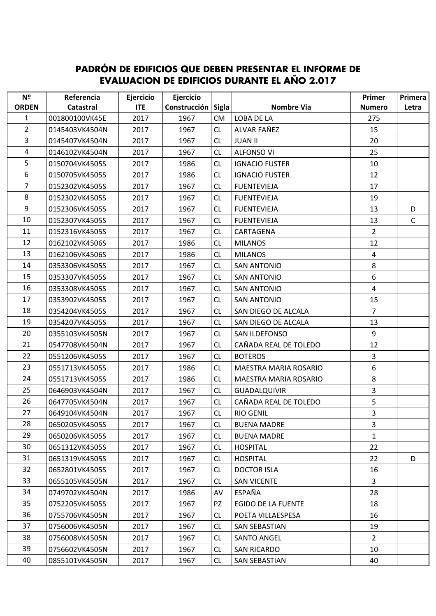## **PADRÓN DE EDIFICIOS QUE DEBEN PRESENTAR EL INFORME DE EVALUACION DE EDIFICIOS DURANTE EL AÑO 2.017**

| Nº             | Referencia     | Ejercicio  | Ejercicio    |              |                           | Primer         | Primera      |
|----------------|----------------|------------|--------------|--------------|---------------------------|----------------|--------------|
| <b>ORDEN</b>   | Catastral      | <b>ITE</b> | Construcción | <b>Sigla</b> | Nombre Via                | <b>Numero</b>  | Letra        |
| $\mathbf{1}$   | 001800100VK45E | 2017       | 1967         | <b>CM</b>    | LOBA DE LA                | 275            |              |
| $\overline{2}$ | 0145403VK4504N | 2017       | 1967         | <b>CL</b>    | ALVAR FAÑEZ               | 15             |              |
| 3              | 0145407VK4504N | 2017       | 1967         | <b>CL</b>    | <b>JUAN II</b>            | 20             |              |
| 4              | 0146102VK4504N | 2017       | 1967         | <b>CL</b>    | <b>ALFONSO VI</b>         | 25             |              |
| 5              | 0150704VK4505S | 2017       | 1986         | <b>CL</b>    | <b>IGNACIO FUSTER</b>     | 10             |              |
| 6              | 0150705VK4505S | 2017       | 1986         | CL           | <b>IGNACIO FUSTER</b>     | 12             |              |
| 7              | 0152302VK4505S | 2017       | 1967         | <b>CL</b>    | <b>FUENTEVIEJA</b>        | 17             |              |
| 8              | 0152302VK4505S | 2017       | 1967         | <b>CL</b>    | <b>FUENTEVIEJA</b>        | 19             |              |
| $9\,$          | 0152306VK4505S | 2017       | 1967         | <b>CL</b>    | <b>FUENTEVIEJA</b>        | 13             | D            |
| 10             | 0152307VK4505S | 2017       | 1967         | <b>CL</b>    | <b>FUENTEVIEJA</b>        | 13             | $\mathsf{C}$ |
| 11             | 0152316VK4505S | 2017       | 1967         | <b>CL</b>    | CARTAGENA                 | $\overline{2}$ |              |
| 12             | 0162102VK4506S | 2017       | 1986         | <b>CL</b>    | <b>MILANOS</b>            | 12             |              |
| 13             | 0162106VK4506S | 2017       | 1986         | CL           | <b>MILANOS</b>            | 4              |              |
| 14             | 0353306VK4505S | 2017       | 1967         | <b>CL</b>    | <b>SAN ANTONIO</b>        | 8              |              |
| 15             | 0353307VK4505S | 2017       | 1967         | <b>CL</b>    | <b>SAN ANTONIO</b>        | 6              |              |
| 16             | 0353308VK4505S | 2017       | 1967         | CL           | <b>SAN ANTONIO</b>        | $\overline{4}$ |              |
| 17             | 0353902VK4505S | 2017       | 1967         | <b>CL</b>    | <b>SAN ANTONIO</b>        | 15             |              |
| 18             | 0354204VK4505S | 2017       | 1967         | CL           | SAN DIEGO DE ALCALA       | $\overline{7}$ |              |
| 19             | 0354207VK4505S | 2017       | 1967         | <b>CL</b>    | SAN DIEGO DE ALCALA       | 13             |              |
| 20             | 0355103VK4505N | 2017       | 1967         | <b>CL</b>    | SAN ILDEFONSO             | 9              |              |
| 21             | 0547708VK4504N | 2017       | 1967         | <b>CL</b>    | CAÑADA REAL DE TOLEDO     | 12             |              |
| 22             | 0551206VK4505S | 2017       | 1967         | CL           | <b>BOTEROS</b>            | 3              |              |
| 23             | 0551713VK4505S | 2017       | 1986         | CL           | MAESTRA MARIA ROSARIO     | 6              |              |
| 24             | 0551713VK4505S | 2017       | 1986         | <b>CL</b>    | MAESTRA MARIA ROSARIO     | 8              |              |
| 25             | 0646903VK4504N | 2017       | 1967         | CL           | <b>GUADALQUIVIR</b>       | $\overline{3}$ |              |
| 26             | 0647705VK4504N | 2017       | 1967         | <b>CL</b>    | CAÑADA REAL DE TOLEDO     | 5              |              |
| 27             | 0649104VK4504N | 2017       | 1967         | <b>CL</b>    | <b>RIO GENIL</b>          | $\overline{3}$ |              |
| 28             | 0650205VK4505S | 2017       | 1967         | <b>CL</b>    | <b>BUENA MADRE</b>        | 3              |              |
| 29             | 0650206VK4505S | 2017       | 1967         | <b>CL</b>    | <b>BUENA MADRE</b>        | $\mathbf{1}$   |              |
| 30             | 0651312VK4505S | 2017       | 1967         | CL           | <b>HOSPITAL</b>           | 22             |              |
| 31             | 0651319VK4505S | 2017       | 1967         | <b>CL</b>    | <b>HOSPITAL</b>           | 22             | D            |
| 32             | 0652801VK4505S | 2017       | 1967         | <b>CL</b>    | <b>DOCTOR ISLA</b>        | 16             |              |
| 33             | 0655105VK4505N | 2017       | 1967         | <b>CL</b>    | <b>SAN VICENTE</b>        | $\overline{3}$ |              |
| 34             | 0749702VK4504N | 2017       | 1986         | AV           | ESPAÑA                    | 28             |              |
| 35             | 0752205VK4505S | 2017       | 1967         | PZ           | <b>EGIDO DE LA FUENTE</b> | 18             |              |
| 36             | 0755706VK4505N | 2017       | 1967         | CL.          | POETA VILLAESPESA         | 16             |              |
| 37             | 0756006VK4505N | 2017       | 1967         | <b>CL</b>    | <b>SAN SEBASTIAN</b>      | 19             |              |
| 38             | 0756008VK4505N | 2017       | 1967         | <b>CL</b>    | <b>SANTO ANGEL</b>        | $\overline{2}$ |              |
| 39             | 0756602VK4505N | 2017       | 1967         | <b>CL</b>    | <b>SAN RICARDO</b>        | 10             |              |
| 40             | 0855101VK4505N | 2017       | 1967         | <b>CL</b>    | <b>SAN SEBASTIAN</b>      | 40             |              |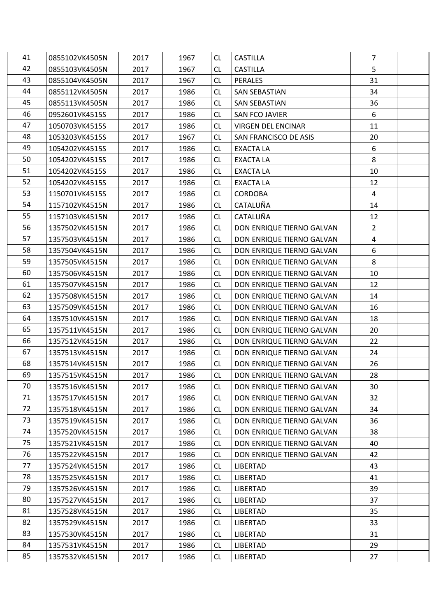| 41 | 0855102VK4505N | 2017 | 1967 | <b>CL</b> | <b>CASTILLA</b>           | 7              |  |
|----|----------------|------|------|-----------|---------------------------|----------------|--|
| 42 | 0855103VK4505N | 2017 | 1967 | <b>CL</b> | <b>CASTILLA</b>           | 5              |  |
| 43 | 0855104VK4505N | 2017 | 1967 | <b>CL</b> | PERALES                   | 31             |  |
| 44 | 0855112VK4505N | 2017 | 1986 | <b>CL</b> | <b>SAN SEBASTIAN</b>      | 34             |  |
| 45 | 0855113VK4505N | 2017 | 1986 | <b>CL</b> | <b>SAN SEBASTIAN</b>      | 36             |  |
| 46 | 0952601VK4515S | 2017 | 1986 | <b>CL</b> | SAN FCO JAVIER            | 6              |  |
| 47 | 1050703VK4515S | 2017 | 1986 | <b>CL</b> | <b>VIRGEN DEL ENCINAR</b> | 11             |  |
| 48 | 1053203VK4515S | 2017 | 1967 | <b>CL</b> | SAN FRANCISCO DE ASIS     | 20             |  |
| 49 | 1054202VK4515S | 2017 | 1986 | <b>CL</b> | <b>EXACTA LA</b>          | 6              |  |
| 50 | 1054202VK4515S | 2017 | 1986 | <b>CL</b> | <b>EXACTA LA</b>          | 8              |  |
| 51 | 1054202VK4515S | 2017 | 1986 | <b>CL</b> | <b>EXACTA LA</b>          | 10             |  |
| 52 | 1054202VK4515S | 2017 | 1986 | <b>CL</b> | <b>EXACTA LA</b>          | 12             |  |
| 53 | 1150701VK4515S | 2017 | 1986 | <b>CL</b> | <b>CORDOBA</b>            | $\overline{a}$ |  |
| 54 | 1157102VK4515N | 2017 | 1986 | <b>CL</b> | CATALUÑA                  | 14             |  |
| 55 | 1157103VK4515N | 2017 | 1986 | <b>CL</b> | CATALUÑA                  | 12             |  |
| 56 | 1357502VK4515N | 2017 | 1986 | <b>CL</b> | DON ENRIQUE TIERNO GALVAN | $2^{\circ}$    |  |
| 57 | 1357503VK4515N | 2017 | 1986 | <b>CL</b> | DON ENRIQUE TIERNO GALVAN | $\overline{4}$ |  |
| 58 | 1357504VK4515N | 2017 | 1986 | <b>CL</b> | DON ENRIQUE TIERNO GALVAN | 6              |  |
| 59 | 1357505VK4515N | 2017 | 1986 | <b>CL</b> | DON ENRIQUE TIERNO GALVAN | 8              |  |
| 60 | 1357506VK4515N | 2017 | 1986 | <b>CL</b> | DON ENRIQUE TIERNO GALVAN | 10             |  |
| 61 | 1357507VK4515N | 2017 | 1986 | <b>CL</b> | DON ENRIQUE TIERNO GALVAN | 12             |  |
| 62 | 1357508VK4515N | 2017 | 1986 | <b>CL</b> | DON ENRIQUE TIERNO GALVAN | 14             |  |
| 63 | 1357509VK4515N | 2017 | 1986 | <b>CL</b> | DON ENRIQUE TIERNO GALVAN | 16             |  |
| 64 | 1357510VK4515N | 2017 | 1986 | <b>CL</b> | DON ENRIQUE TIERNO GALVAN | 18             |  |
| 65 | 1357511VK4515N | 2017 | 1986 | <b>CL</b> | DON ENRIQUE TIERNO GALVAN | 20             |  |
| 66 | 1357512VK4515N | 2017 | 1986 | <b>CL</b> | DON ENRIQUE TIERNO GALVAN | 22             |  |
| 67 | 1357513VK4515N | 2017 | 1986 | <b>CL</b> | DON ENRIQUE TIERNO GALVAN | 24             |  |
| 68 | 1357514VK4515N | 2017 | 1986 | <b>CL</b> | DON ENRIQUE TIERNO GALVAN | 26             |  |
| 69 | 1357515VK4515N | 2017 | 1986 | <b>CL</b> | DON ENRIQUE TIERNO GALVAN | 28             |  |
| 70 | 1357516VK4515N | 2017 | 1986 | <b>CL</b> | DON ENRIQUE TIERNO GALVAN | 30             |  |
| 71 | 1357517VK4515N | 2017 | 1986 | <b>CL</b> | DON ENRIQUE TIERNO GALVAN | 32             |  |
| 72 | 1357518VK4515N | 2017 | 1986 | <b>CL</b> | DON ENRIQUE TIERNO GALVAN | 34             |  |
| 73 | 1357519VK4515N | 2017 | 1986 | <b>CL</b> | DON ENRIQUE TIERNO GALVAN | 36             |  |
| 74 | 1357520VK4515N | 2017 | 1986 | CL.       | DON ENRIQUE TIERNO GALVAN | 38             |  |
| 75 | 1357521VK4515N | 2017 | 1986 | <b>CL</b> | DON ENRIQUE TIERNO GALVAN | 40             |  |
| 76 | 1357522VK4515N | 2017 | 1986 | <b>CL</b> | DON ENRIQUE TIERNO GALVAN | 42             |  |
| 77 | 1357524VK4515N | 2017 | 1986 | <b>CL</b> | LIBERTAD                  | 43             |  |
| 78 | 1357525VK4515N | 2017 | 1986 | <b>CL</b> | <b>LIBERTAD</b>           | 41             |  |
| 79 | 1357526VK4515N | 2017 | 1986 | CL.       | <b>LIBERTAD</b>           | 39             |  |
| 80 | 1357527VK4515N | 2017 | 1986 | <b>CL</b> | LIBERTAD                  | 37             |  |
| 81 | 1357528VK4515N | 2017 | 1986 | CL.       | <b>LIBERTAD</b>           | 35             |  |
| 82 | 1357529VK4515N | 2017 | 1986 | <b>CL</b> | <b>LIBERTAD</b>           | 33             |  |
| 83 | 1357530VK4515N | 2017 | 1986 | <b>CL</b> | <b>LIBERTAD</b>           | 31             |  |
| 84 | 1357531VK4515N | 2017 | 1986 | CL.       | LIBERTAD                  | 29             |  |
| 85 | 1357532VK4515N | 2017 | 1986 | CL        | <b>LIBERTAD</b>           | 27             |  |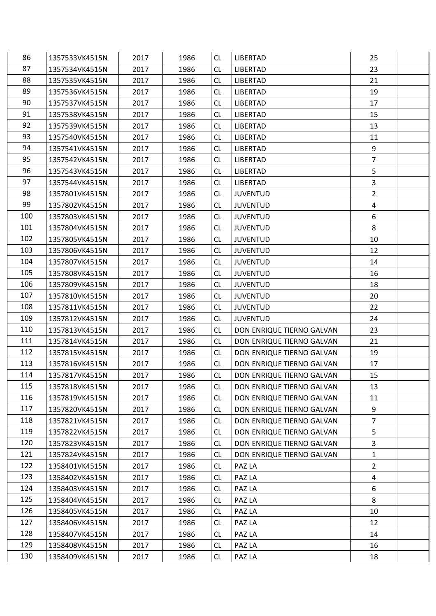| 86  | 1357533VK4515N | 2017 | 1986 | <b>CL</b> | <b>LIBERTAD</b>           | 25             |  |
|-----|----------------|------|------|-----------|---------------------------|----------------|--|
| 87  | 1357534VK4515N | 2017 | 1986 | <b>CL</b> | LIBERTAD                  | 23             |  |
| 88  | 1357535VK4515N | 2017 | 1986 | <b>CL</b> | <b>LIBERTAD</b>           | 21             |  |
| 89  | 1357536VK4515N | 2017 | 1986 | <b>CL</b> | LIBERTAD                  | 19             |  |
| 90  | 1357537VK4515N | 2017 | 1986 | <b>CL</b> | <b>LIBERTAD</b>           | 17             |  |
| 91  | 1357538VK4515N | 2017 | 1986 | <b>CL</b> | <b>LIBERTAD</b>           | 15             |  |
| 92  | 1357539VK4515N | 2017 | 1986 | <b>CL</b> | <b>LIBERTAD</b>           | 13             |  |
| 93  | 1357540VK4515N | 2017 | 1986 | <b>CL</b> | <b>LIBERTAD</b>           | 11             |  |
| 94  | 1357541VK4515N | 2017 | 1986 | <b>CL</b> | LIBERTAD                  | 9              |  |
| 95  | 1357542VK4515N | 2017 | 1986 | <b>CL</b> | <b>LIBERTAD</b>           | $\overline{7}$ |  |
| 96  | 1357543VK4515N | 2017 | 1986 | <b>CL</b> | <b>LIBERTAD</b>           | 5              |  |
| 97  | 1357544VK4515N | 2017 | 1986 | <b>CL</b> | LIBERTAD                  | $\overline{3}$ |  |
| 98  | 1357801VK4515N | 2017 | 1986 | <b>CL</b> | <b>JUVENTUD</b>           | $\overline{2}$ |  |
| 99  | 1357802VK4515N | 2017 | 1986 | CL        | <b>JUVENTUD</b>           | 4              |  |
| 100 | 1357803VK4515N | 2017 | 1986 | <b>CL</b> | <b>JUVENTUD</b>           | 6              |  |
| 101 | 1357804VK4515N | 2017 | 1986 | <b>CL</b> | <b>JUVENTUD</b>           | 8              |  |
| 102 | 1357805VK4515N | 2017 | 1986 | <b>CL</b> | <b>JUVENTUD</b>           | 10             |  |
| 103 | 1357806VK4515N | 2017 | 1986 | <b>CL</b> | <b>JUVENTUD</b>           | 12             |  |
| 104 | 1357807VK4515N | 2017 | 1986 | CL        | <b>JUVENTUD</b>           | 14             |  |
| 105 | 1357808VK4515N | 2017 | 1986 | <b>CL</b> | <b>JUVENTUD</b>           | 16             |  |
| 106 | 1357809VK4515N | 2017 | 1986 | <b>CL</b> | <b>JUVENTUD</b>           | 18             |  |
| 107 | 1357810VK4515N | 2017 | 1986 | <b>CL</b> | <b>JUVENTUD</b>           | 20             |  |
| 108 | 1357811VK4515N | 2017 | 1986 | <b>CL</b> | <b>JUVENTUD</b>           | 22             |  |
| 109 | 1357812VK4515N | 2017 | 1986 | <b>CL</b> | <b>JUVENTUD</b>           | 24             |  |
| 110 | 1357813VK4515N | 2017 | 1986 | <b>CL</b> | DON ENRIQUE TIERNO GALVAN | 23             |  |
| 111 | 1357814VK4515N | 2017 | 1986 | CL        | DON ENRIQUE TIERNO GALVAN | 21             |  |
| 112 | 1357815VK4515N | 2017 | 1986 | <b>CL</b> | DON ENRIQUE TIERNO GALVAN | 19             |  |
| 113 | 1357816VK4515N | 2017 | 1986 | <b>CL</b> | DON ENRIQUE TIERNO GALVAN | 17             |  |
| 114 | 1357817VK4515N | 2017 | 1986 | <b>CL</b> | DON ENRIQUE TIERNO GALVAN | 15             |  |
| 115 | 1357818VK4515N | 2017 | 1986 | <b>CL</b> | DON ENRIQUE TIERNO GALVAN | 13             |  |
| 116 | 1357819VK4515N | 2017 | 1986 | <b>CL</b> | DON ENRIQUE TIERNO GALVAN | 11             |  |
| 117 | 1357820VK4515N | 2017 | 1986 | <b>CL</b> | DON ENRIQUE TIERNO GALVAN | 9              |  |
| 118 | 1357821VK4515N | 2017 | 1986 | <b>CL</b> | DON ENRIQUE TIERNO GALVAN | $\overline{7}$ |  |
| 119 | 1357822VK4515N | 2017 | 1986 | <b>CL</b> | DON ENRIQUE TIERNO GALVAN | 5              |  |
| 120 | 1357823VK4515N | 2017 | 1986 | <b>CL</b> | DON ENRIQUE TIERNO GALVAN | $\mathbf{3}$   |  |
| 121 | 1357824VK4515N | 2017 | 1986 | <b>CL</b> | DON ENRIQUE TIERNO GALVAN | $\mathbf{1}$   |  |
| 122 | 1358401VK4515N | 2017 | 1986 | <b>CL</b> | PAZ LA                    | $\overline{2}$ |  |
| 123 | 1358402VK4515N | 2017 | 1986 | <b>CL</b> | PAZ LA                    | $\overline{a}$ |  |
| 124 | 1358403VK4515N | 2017 | 1986 | CL.       | PAZ LA                    | 6              |  |
| 125 | 1358404VK4515N | 2017 | 1986 | <b>CL</b> | PAZ LA                    | 8              |  |
| 126 | 1358405VK4515N | 2017 | 1986 | CL.       | PAZ LA                    | 10             |  |
| 127 | 1358406VK4515N | 2017 | 1986 | <b>CL</b> | PAZ LA                    | 12             |  |
| 128 | 1358407VK4515N | 2017 | 1986 | <b>CL</b> | PAZ LA                    | 14             |  |
| 129 | 1358408VK4515N | 2017 | 1986 | CL.       | PAZ LA                    | 16             |  |
| 130 | 1358409VK4515N | 2017 | 1986 | <b>CL</b> | PAZ LA                    | 18             |  |